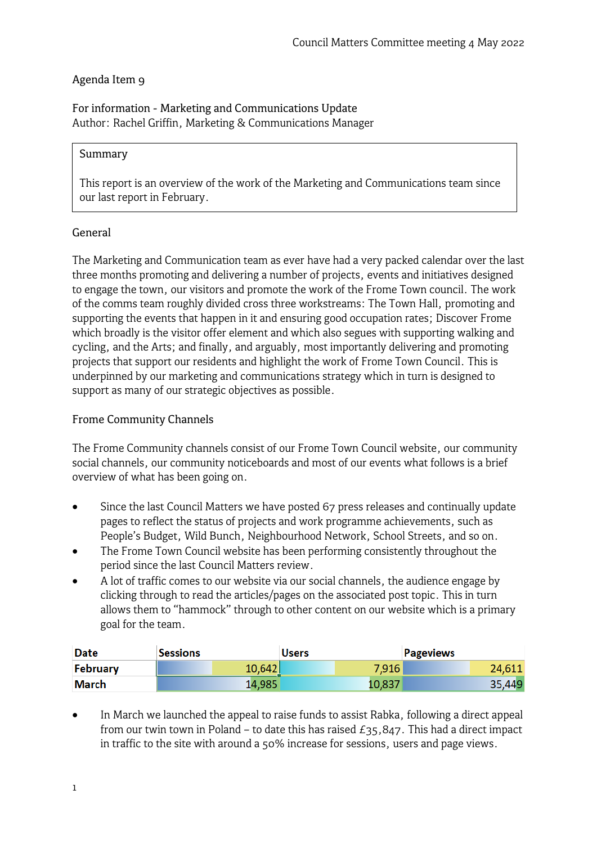### Agenda Item 9

For information - Marketing and Communications Update Author: Rachel Griffin, Marketing & Communications Manager

#### Summary

This report is an overview of the work of the Marketing and Communications team since our last report in February.

#### General

The Marketing and Communication team as ever have had a very packed calendar over the last three months promoting and delivering a number of projects, events and initiatives designed to engage the town, our visitors and promote the work of the Frome Town council. The work of the comms team roughly divided cross three workstreams: The Town Hall, promoting and supporting the events that happen in it and ensuring good occupation rates; Discover Frome which broadly is the visitor offer element and which also segues with supporting walking and cycling, and the Arts; and finally, and arguably, most importantly delivering and promoting projects that support our residents and highlight the work of Frome Town Council. This is underpinned by our marketing and communications strategy which in turn is designed to support as many of our strategic objectives as possible.

#### Frome Community Channels

The Frome Community channels consist of our Frome Town Council website, our community social channels, our community noticeboards and most of our events what follows is a brief overview of what has been going on.

- Since the last Council Matters we have posted 67 press releases and continually update pages to reflect the status of projects and work programme achievements, such as People's Budget, Wild Bunch, Neighbourhood Network, School Streets, and so on.
- The Frome Town Council website has been performing consistently throughout the period since the last Council Matters review.
- A lot of traffic comes to our website via our social channels, the audience engage by clicking through to read the articles/pages on the associated post topic. This in turn allows them to "hammock" through to other content on our website which is a primary goal for the team.

| <b>Date</b>     | <b>Sessions</b> | <b>Users</b> | <b>Pageviews</b> |
|-----------------|-----------------|--------------|------------------|
| <b>February</b> | 10,642          | 7,916        | 24,611           |
| March           | 14,985          | 10,837       | 35,449           |

• In March we launched the appeal to raise funds to assist Rabka, following a direct appeal from our twin town in Poland – to date this has raised  $E_35,847$ . This had a direct impact in traffic to the site with around a 50% increase for sessions, users and page views.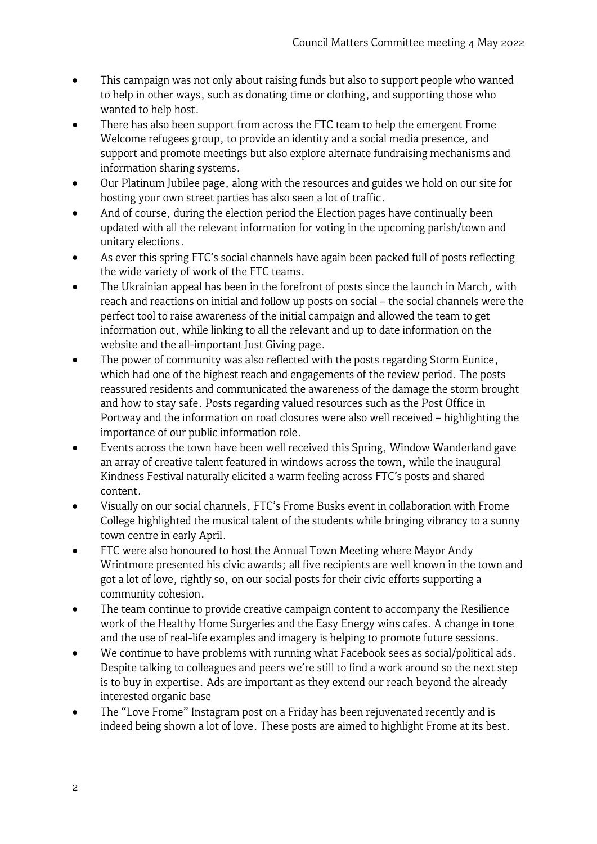- This campaign was not only about raising funds but also to support people who wanted to help in other ways, such as donating time or clothing, and supporting those who wanted to help host.
- There has also been support from across the FTC team to help the emergent Frome Welcome refugees group, to provide an identity and a social media presence, and support and promote meetings but also explore alternate fundraising mechanisms and information sharing systems.
- Our Platinum Jubilee page, along with the resources and guides we hold on our site for hosting your own street parties has also seen a lot of traffic.
- And of course, during the election period the Election pages have continually been updated with all the relevant information for voting in the upcoming parish/town and unitary elections.
- As ever this spring FTC's social channels have again been packed full of posts reflecting the wide variety of work of the FTC teams.
- The Ukrainian appeal has been in the forefront of posts since the launch in March, with reach and reactions on initial and follow up posts on social – the social channels were the perfect tool to raise awareness of the initial campaign and allowed the team to get information out, while linking to all the relevant and up to date information on the website and the all-important Just Giving page.
- The power of community was also reflected with the posts regarding Storm Eunice, which had one of the highest reach and engagements of the review period. The posts reassured residents and communicated the awareness of the damage the storm brought and how to stay safe. Posts regarding valued resources such as the Post Office in Portway and the information on road closures were also well received – highlighting the importance of our public information role.
- Events across the town have been well received this Spring, Window Wanderland gave an array of creative talent featured in windows across the town, while the inaugural Kindness Festival naturally elicited a warm feeling across FTC's posts and shared content.
- Visually on our social channels, FTC's Frome Busks event in collaboration with Frome College highlighted the musical talent of the students while bringing vibrancy to a sunny town centre in early April.
- FTC were also honoured to host the Annual Town Meeting where Mayor Andy Wrintmore presented his civic awards; all five recipients are well known in the town and got a lot of love, rightly so, on our social posts for their civic efforts supporting a community cohesion.
- The team continue to provide creative campaign content to accompany the Resilience work of the Healthy Home Surgeries and the Easy Energy wins cafes. A change in tone and the use of real-life examples and imagery is helping to promote future sessions.
- We continue to have problems with running what Facebook sees as social/political ads. Despite talking to colleagues and peers we're still to find a work around so the next step is to buy in expertise. Ads are important as they extend our reach beyond the already interested organic base
- The "Love Frome" Instagram post on a Friday has been rejuvenated recently and is indeed being shown a lot of love. These posts are aimed to highlight Frome at its best.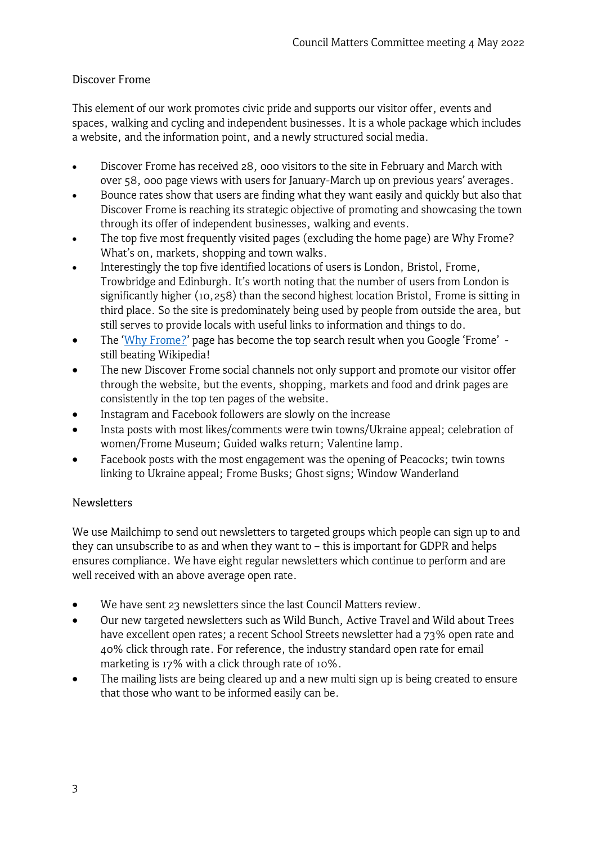# Discover Frome

This element of our work promotes civic pride and supports our visitor offer, events and spaces, walking and cycling and independent businesses. It is a whole package which includes a website, and the information point, and a newly structured social media.

- Discover Frome has received 28, 000 visitors to the site in February and March with over 58, 000 page views with users for January-March up on previous years' averages.
- Bounce rates show that users are finding what they want easily and quickly but also that Discover Frome is reaching its strategic objective of promoting and showcasing the town through its offer of independent businesses, walking and events.
- The top five most frequently visited pages (excluding the home page) are Why Frome? What's on, markets, shopping and town walks.
- Interestingly the top five identified locations of users is London, Bristol, Frome, Trowbridge and Edinburgh. It's worth noting that the number of users from London is significantly higher (10,258) than the second highest location Bristol, Frome is sitting in third place. So the site is predominately being used by people from outside the area, but still serves to provide locals with useful links to information and things to do.
- The ['Why Frome?'](https://www.discoverfrome.co.uk/frome/) page has become the top search result when you Google 'Frome' still beating Wikipedia!
- The new Discover Frome social channels not only support and promote our visitor offer through the website, but the events, shopping, markets and food and drink pages are consistently in the top ten pages of the website.
- Instagram and Facebook followers are slowly on the increase
- Insta posts with most likes/comments were twin towns/Ukraine appeal; celebration of women/Frome Museum; Guided walks return; Valentine lamp.
- Facebook posts with the most engagement was the opening of Peacocks; twin towns linking to Ukraine appeal; Frome Busks; Ghost signs; Window Wanderland

# Newsletters

We use Mailchimp to send out newsletters to targeted groups which people can sign up to and they can unsubscribe to as and when they want to – this is important for GDPR and helps ensures compliance. We have eight regular newsletters which continue to perform and are well received with an above average open rate.

- We have sent 23 newsletters since the last Council Matters review.
- Our new targeted newsletters such as Wild Bunch, Active Travel and Wild about Trees have excellent open rates; a recent School Streets newsletter had a 73% open rate and 40% click through rate. For reference, the industry standard open rate for email marketing is 17% with a click through rate of 10%.
- The mailing lists are being cleared up and a new multi sign up is being created to ensure that those who want to be informed easily can be.